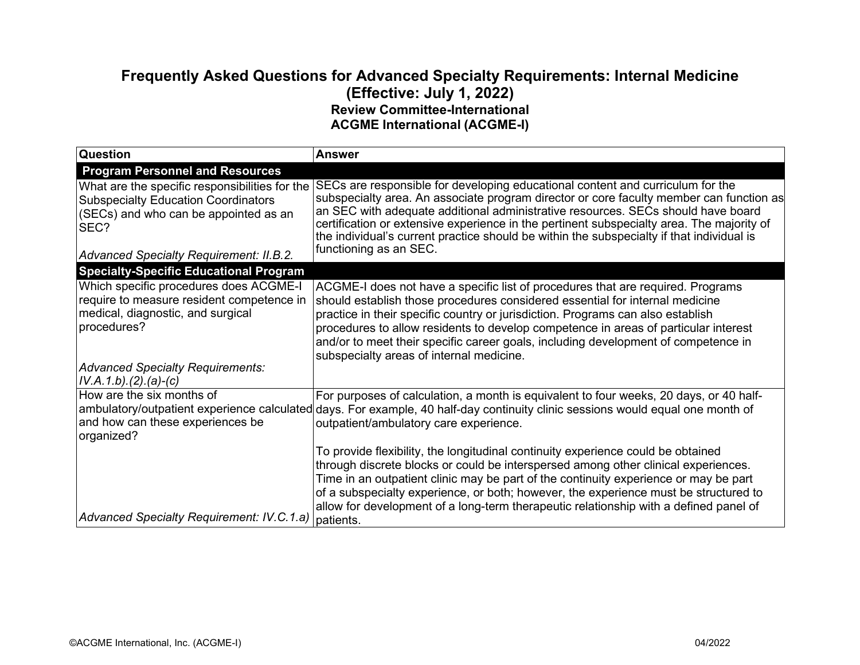## **Frequently Asked Questions for Advanced Specialty Requirements: Internal Medicine (Effective: July 1, 2022) Review Committee-International ACGME International (ACGME-I)**

| <b>Question</b>                                                                                                                               | <b>Answer</b>                                                                                                                                                                                                                                                                                                                                                                                                                                                               |
|-----------------------------------------------------------------------------------------------------------------------------------------------|-----------------------------------------------------------------------------------------------------------------------------------------------------------------------------------------------------------------------------------------------------------------------------------------------------------------------------------------------------------------------------------------------------------------------------------------------------------------------------|
| <b>Program Personnel and Resources</b>                                                                                                        |                                                                                                                                                                                                                                                                                                                                                                                                                                                                             |
| What are the specific responsibilities for the<br><b>Subspecialty Education Coordinators</b><br>(SECs) and who can be appointed as an<br>SEC? | SECs are responsible for developing educational content and curriculum for the<br>subspecialty area. An associate program director or core faculty member can function as<br>an SEC with adequate additional administrative resources. SECs should have board<br>certification or extensive experience in the pertinent subspecialty area. The majority of<br>the individual's current practice should be within the subspecialty if that individual is                     |
| <b>Advanced Specialty Requirement: II.B.2.</b>                                                                                                | functioning as an SEC.                                                                                                                                                                                                                                                                                                                                                                                                                                                      |
| <b>Specialty-Specific Educational Program</b>                                                                                                 |                                                                                                                                                                                                                                                                                                                                                                                                                                                                             |
| Which specific procedures does ACGME-I<br>require to measure resident competence in<br>medical, diagnostic, and surgical<br>procedures?       | ACGME-I does not have a specific list of procedures that are required. Programs<br>should establish those procedures considered essential for internal medicine<br>practice in their specific country or jurisdiction. Programs can also establish<br>procedures to allow residents to develop competence in areas of particular interest<br>and/or to meet their specific career goals, including development of competence in<br>subspecialty areas of internal medicine. |
| <b>Advanced Specialty Requirements:</b><br>$IV.A.1.b)(2).(a)-(c)$                                                                             |                                                                                                                                                                                                                                                                                                                                                                                                                                                                             |
| How are the six months of<br>and how can these experiences be<br>organized?                                                                   | For purposes of calculation, a month is equivalent to four weeks, 20 days, or 40 half-<br>ambulatory/outpatient experience calculated days. For example, 40 half-day continuity clinic sessions would equal one month of<br>outpatient/ambulatory care experience.                                                                                                                                                                                                          |
|                                                                                                                                               | To provide flexibility, the longitudinal continuity experience could be obtained<br>through discrete blocks or could be interspersed among other clinical experiences.<br>Time in an outpatient clinic may be part of the continuity experience or may be part<br>of a subspecialty experience, or both; however, the experience must be structured to<br>allow for development of a long-term therapeutic relationship with a defined panel of                             |
| Advanced Specialty Requirement: IV.C.1.a)                                                                                                     | patients.                                                                                                                                                                                                                                                                                                                                                                                                                                                                   |